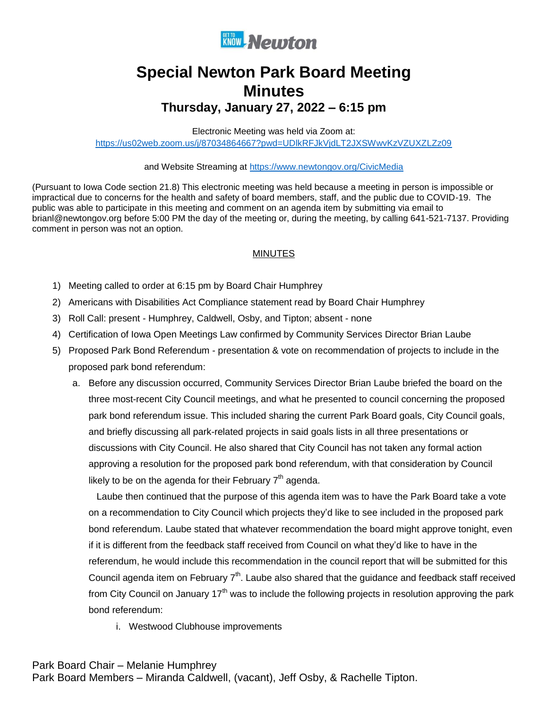

## **Special Newton Park Board Meeting Minutes Thursday, January 27, 2022 – 6:15 pm**

Electronic Meeting was held via Zoom at: <https://us02web.zoom.us/j/87034864667?pwd=UDlkRFJkVjdLT2JXSWwvKzVZUXZLZz09>

and Website Streaming at<https://www.newtongov.org/CivicMedia>

(Pursuant to Iowa Code section 21.8) This electronic meeting was held because a meeting in person is impossible or impractical due to concerns for the health and safety of board members, staff, and the public due to COVID-19. The public was able to participate in this meeting and comment on an agenda item by submitting via email to brianl@newtongov.org before 5:00 PM the day of the meeting or, during the meeting, by calling 641-521-7137. Providing comment in person was not an option.

## **MINUTES**

- 1) Meeting called to order at 6:15 pm by Board Chair Humphrey
- 2) Americans with Disabilities Act Compliance statement read by Board Chair Humphrey
- 3) Roll Call: present Humphrey, Caldwell, Osby, and Tipton; absent none
- 4) Certification of Iowa Open Meetings Law confirmed by Community Services Director Brian Laube
- 5) Proposed Park Bond Referendum presentation & vote on recommendation of projects to include in the proposed park bond referendum:
	- a. Before any discussion occurred, Community Services Director Brian Laube briefed the board on the three most-recent City Council meetings, and what he presented to council concerning the proposed park bond referendum issue. This included sharing the current Park Board goals, City Council goals, and briefly discussing all park-related projects in said goals lists in all three presentations or discussions with City Council. He also shared that City Council has not taken any formal action approving a resolution for the proposed park bond referendum, with that consideration by Council likely to be on the agenda for their February  $7<sup>th</sup>$  agenda.

Laube then continued that the purpose of this agenda item was to have the Park Board take a vote on a recommendation to City Council which projects they'd like to see included in the proposed park bond referendum. Laube stated that whatever recommendation the board might approve tonight, even if it is different from the feedback staff received from Council on what they'd like to have in the referendum, he would include this recommendation in the council report that will be submitted for this Council agenda item on February  $7<sup>th</sup>$ . Laube also shared that the guidance and feedback staff received from City Council on January  $17<sup>th</sup>$  was to include the following projects in resolution approving the park bond referendum:

i. Westwood Clubhouse improvements

Park Board Members – Miranda Caldwell, (vacant), Jeff Osby, & Rachelle Tipton.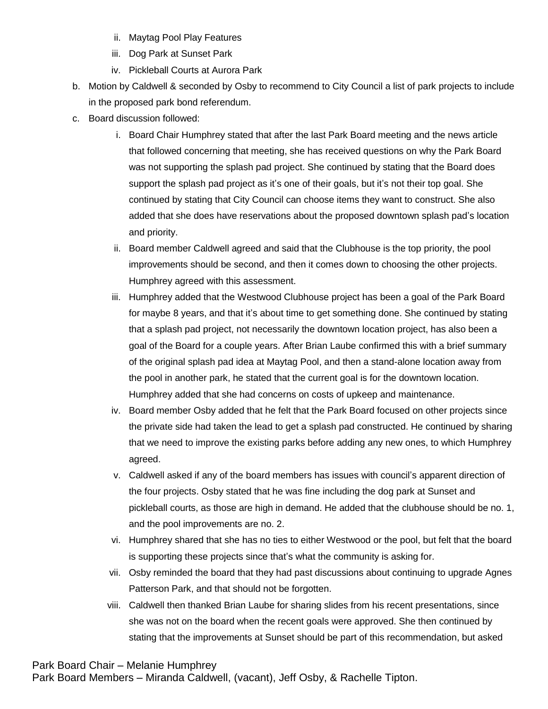- ii. Maytag Pool Play Features
- iii. Dog Park at Sunset Park
- iv. Pickleball Courts at Aurora Park
- b. Motion by Caldwell & seconded by Osby to recommend to City Council a list of park projects to include in the proposed park bond referendum.
- c. Board discussion followed:
	- i. Board Chair Humphrey stated that after the last Park Board meeting and the news article that followed concerning that meeting, she has received questions on why the Park Board was not supporting the splash pad project. She continued by stating that the Board does support the splash pad project as it's one of their goals, but it's not their top goal. She continued by stating that City Council can choose items they want to construct. She also added that she does have reservations about the proposed downtown splash pad's location and priority.
	- ii. Board member Caldwell agreed and said that the Clubhouse is the top priority, the pool improvements should be second, and then it comes down to choosing the other projects. Humphrey agreed with this assessment.
	- iii. Humphrey added that the Westwood Clubhouse project has been a goal of the Park Board for maybe 8 years, and that it's about time to get something done. She continued by stating that a splash pad project, not necessarily the downtown location project, has also been a goal of the Board for a couple years. After Brian Laube confirmed this with a brief summary of the original splash pad idea at Maytag Pool, and then a stand-alone location away from the pool in another park, he stated that the current goal is for the downtown location. Humphrey added that she had concerns on costs of upkeep and maintenance.
	- iv. Board member Osby added that he felt that the Park Board focused on other projects since the private side had taken the lead to get a splash pad constructed. He continued by sharing that we need to improve the existing parks before adding any new ones, to which Humphrey agreed.
	- v. Caldwell asked if any of the board members has issues with council's apparent direction of the four projects. Osby stated that he was fine including the dog park at Sunset and pickleball courts, as those are high in demand. He added that the clubhouse should be no. 1, and the pool improvements are no. 2.
	- vi. Humphrey shared that she has no ties to either Westwood or the pool, but felt that the board is supporting these projects since that's what the community is asking for.
	- vii. Osby reminded the board that they had past discussions about continuing to upgrade Agnes Patterson Park, and that should not be forgotten.
	- viii. Caldwell then thanked Brian Laube for sharing slides from his recent presentations, since she was not on the board when the recent goals were approved. She then continued by stating that the improvements at Sunset should be part of this recommendation, but asked

Park Board Members – Miranda Caldwell, (vacant), Jeff Osby, & Rachelle Tipton.